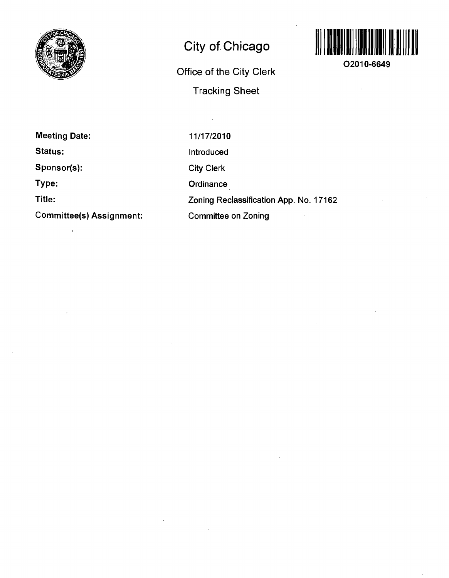

## **City of Chicago**

## **Office of the City Clerk**

**Tracking Sheet** 



**O2010-6649** 

**Meeting Date:** 

**Status:** 

**Sponsor(s):** 

**Type:** 

**Title:** 

**Committee(s) Assignment:** 

11/17/2010 Introduced City Clerk **Ordinance** Zoning Reclassification App. No. 17162 Committee on Zoning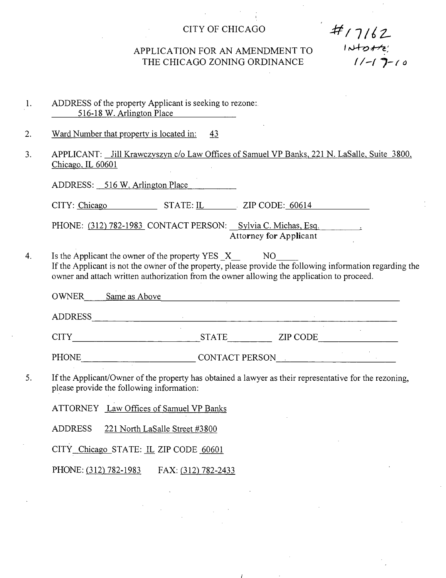### APPLICATION FOR AN AMENDMENT TO  $\overline{1}$   $\overline{1}$   $\overline{1}$   $\overline{2}$   $\overline{1}$   $\overline{2}$   $\overline{1}$   $\overline{3}$   $\overline{4}$   $\overline{2}$   $\overline{4}$   $\overline{2}$   $\overline{2}$   $\overline{2}$   $\overline{2}$   $\overline{2}$   $\overline{2}$   $\overline{2}$   $\overline{2}$   $\overline{2}$   $\overline{2}$  *THE CHICAGO ZONING ORDINANCE / /- / f o*

CITY OF CHICAGO  $# / \frac{7}{62}$ 

- 1. ADDRESS of the property Applicant is seeking to rezone: 516-18 W. Arlington Place
- 2. Ward Number that property is located in: 43
- 3. APPLICANT: Jill Krawczvszyn c/o Law Offices of Samuel VP Banks, 221 N. LaSalle, Suite 3800, Chicago, IL 60601

ADDRESS: 516 W. Arlington Place

CITY: Chicago STATE: IL ZIP CODE: 60614

PHONE: (312) 782-1983 CONTACT PERSON: Sylvia C. Michas, Esq. **Attorney for Applicant** 

4. Is the Applicant the owner of the property YES X NO If the Applicant is not the owner of the property, please provide the following information regarding the owner and attach written authorization from the owner allowing the application to proceed.

| OWNER        | Same as Above |                       |          |  |
|--------------|---------------|-----------------------|----------|--|
| ADDRESS      |               |                       |          |  |
| <b>CITY</b>  |               | <b>STATE</b>          | ZIP CODE |  |
| <b>PHONE</b> |               | <b>CONTACT PERSON</b> |          |  |

5. If the Applicant/Owner of the property has obtained a lawyer as their representative for the rezoning, please provide the following information:

ATTORNEY Law Offices of Samuel VP Banks

ADDRESS 221 North LaSalle Street #3800

CITY Chicago STATE: JL ZIP CODE 60601

PHONE: (312) 782-1983 FAX: (312) 782-2433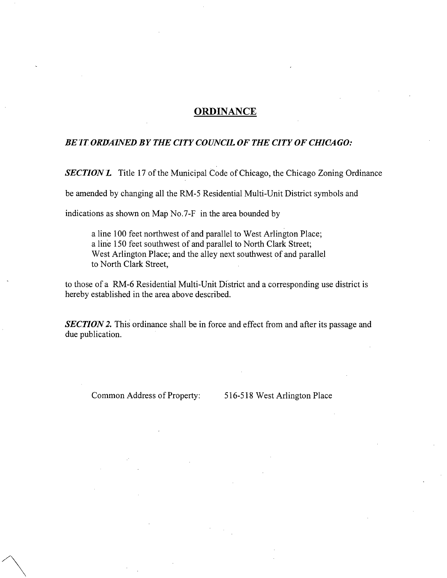#### **ORDINANCE**

#### *BE IT ORDAINED BY THE CITY COUNCIL OF THE CITY OF CHICA GO:*

**SECTION L** Title 17 of the Municipal Code of Chicago, the Chicago Zoning Ordinance

be amended by changing all the RM-5 Residential Multi-Unit District symbols and

indications as shown on Map No.7-F in the area bounded by

a line 100 feet northwest of and parallel to West Arlington Place; a line 150 feet southwest of and parallel to North Clark Street; West Arlington Place; and the alley next southwest of and parallel to North Clark Street,

to those of a RM-6 Residential Multi-Unit District and a corresponding use district is hereby established in the area above described.

**SECTION 2.** This ordinance shall be in force and effect from and after its passage and due publication.

Common Address of Property: 516-518 West Arlington Place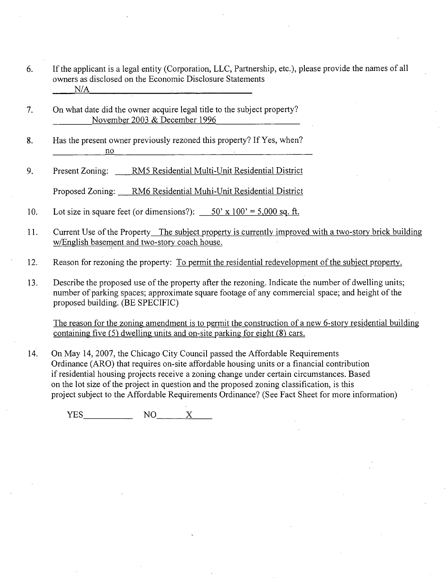- 6. If the applicant is a legal entity (Corporation, LLC, Partnership, etc.), please provide the names of all owners as disclosed on the Economic Disclosure Statements N/A
- 7. On what date did the owner acquire legal title to the subject property? November 2003 & December 1996
- 8. Has the present owner previously rezoned this property? If Yes, when? no
- 9. Present Zoning: RMS Residential Multi-Unit Residential District Proposed Zoning: RM6 Residential Muhi-Unit Residential District
- 10. Lot size in square feet (or dimensions?):  $50' \times 100' = 5,000$  sq. ft.
- 11. Current Use of the Property The subject property is currently improved with a two-story brick building w/English basement and two-story coach house.
- 12. Reason for rezoning the property: To permit the residential redevelopment of the subject property.
- 13. Describe the proposed use of the property after the rezoning. Indicate the number of dwelling units; number of parking spaces; approximate square footage of any commercial space; and height of the proposed building. (BE SPECIFIC)

The reason for the zoning amendment is to permit the construction of a new 6-story residential building containing five (5) dwelling units and on-site parking for eight (8) cars.

14. On May 14, 2007, the Chicago City Council passed the Affordable Requirements Ordinance (ARO) that requires on-site affordable housing units or a financial contribution if residential housing projects receive a zoning change under certain circumstances. Based on the lot size of the project in question and the proposed zoning classification, is this project subject to the Affordable Requirements Ordinance? (See Fact Sheet for more information)

YES NO X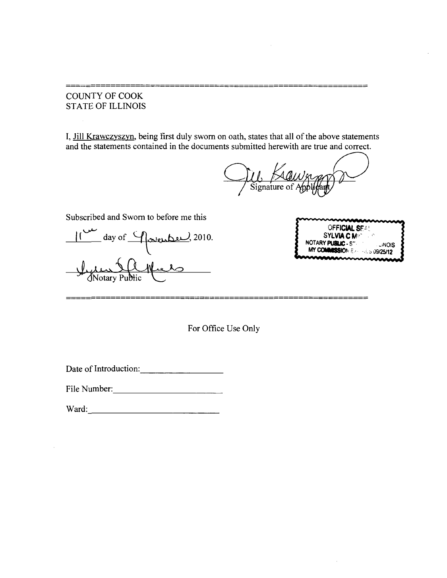#### COUNTY OF COOK STATE OF ILLINOIS

I, Jill Krawczyszyn, being first duly sworn on oath, states that all of the above statements and the statements contained in the documents submitted herewith are true and correct.

 $\overline{\text{Sigma of } A}$ 

=========

Subscribed and Sworn to before me this

<u>In day of Glovenber</u>, 2010. •^dNotary PuWic

==========

OFFICIAL SEAL **SYLVIA CMIC** NOTARY PUBLIC - ST **LINOIS** MY COMMISSION Exercise 09/25/12

For Office Use Only

Date of Introduction:

File Number:

Ward: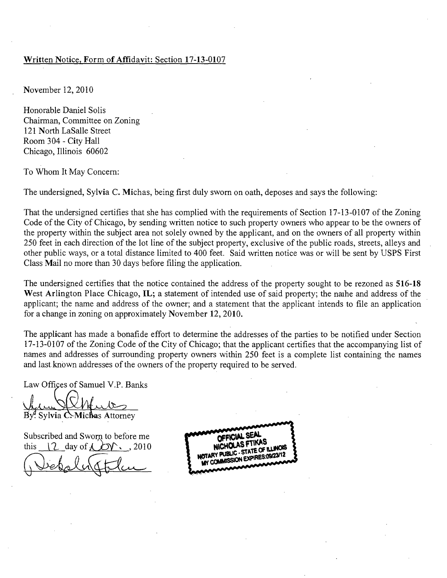#### **Written Notice, Form of Affidavit: Section 17-13-0107**

November 12,2010

Honorable Daniel Solis Chairman, Committee on Zoning 121 North LaSalle Street Room 304 - City Hall Chicago, Illinois 60602

To Whom It May Concern:

The undersigned, Sylvia C. Michas, being first duly sworn on oath, deposes and says the following:

That the undersigned certifies that she has complied with the requirements of Section 17-13-0107 of the Zoning Code of the City of Chicago, by sending written notice to such property owners who appear to be the owners of the property within the subject area not solely owned by the applicant, and on the owners of all property within 250 feet in each direction of the lot line of the subject property, exclusive of the public roads, streets, alleys and other public ways, or a total distance limited to 400 feet. Said written notice was or will be sent by USPS First Class Mail no more than 30 days before filing the application.

**The undersigned certifies that the notice contained the address of the property sought to be rezoned as 516-18**  West Arlington Place Chicago, **IL**; a statement of intended use of said property; the naihe and address of the **applicant; the name and address of the owner; and a statement that the applicant intends to file an application for a change in zoning on approximately November 12, 2010.** 

The applicant has made a bonafide effort to determine the addresses of the parties to be notified under Section 17-13-0107 of the Zoning Code of the City of Chicago; that the applicant certifies that the accompanying list of names and addresses of surrounding property owners within 250 feet is a complete list containing the names and last known addresses of the owners of the property required to be served.

Law Offices of Samuel V.P. Banks

 $\dot{\mathbf{B}}$ <sup>Q</sup>. Sylvia **C**. Michas Attorney

Subscribed and Sworn to before me this  $\{ 2 \text{ day of } \lambda \text{ for } \lambda, 2010 \}$ 

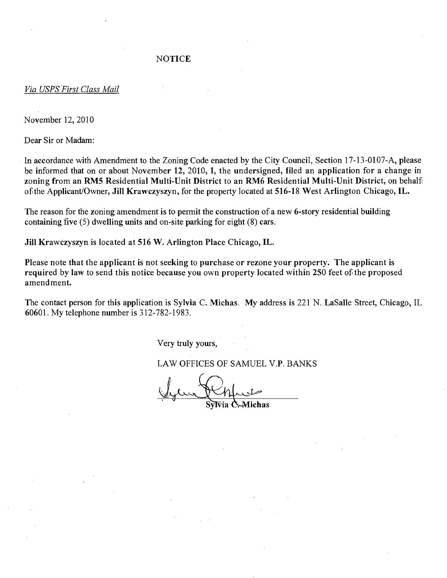#### **NOTICE**

#### *Via USPS First Class Mail*

November 12, 2010

Dear Sir or Madam:

**In accordance with Amendment to the Zoning Code enacted by the City Council, Section 17-13-0107-A, please**  be informed that on or about November 12, 2010, 1, the undersigned, filed an application for a change in **zoning from an RMS Residential Multi-Unit District to an RM6 Residential Multi-Unit District, on behalf of the Applicant/Owner, Jill Krawczyszyn, for the property located at 516-18 West Arlington Chicago, IL.** 

The reason for the zoning amendment is to permit the construction of a new 6-story residential building containing five (5) dwelling units and on-site parking for eight (8) cars.

**Jill Krawczyszyn is located at 516 W. Arlington Place Chicago, IL.** 

**Please note that the applicant is not seeking to purchase or rezone your property. The applicant is required by law to send this notice because you own property located within 250 feet of the proposed amendment.** 

The contact person for this application is Sylvia C. Michas. My address is 221 N. LaSalle Street, Chicago, IL 60601. My telephone number is 312-782-1983.

Very truly yours,

LAW OFFICES OF SAMUEL V.P. BANKS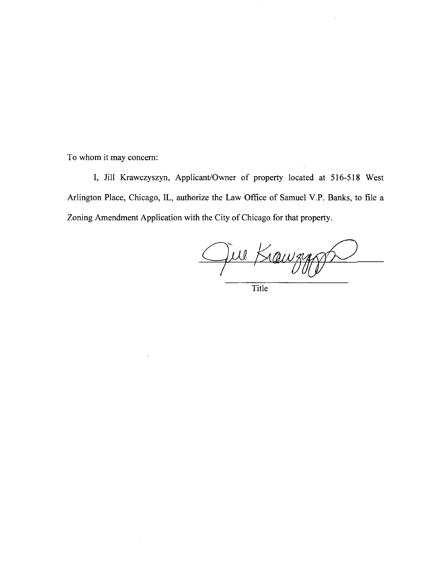To whom it may concern:

 $\sim$ 

I, Jill Krawczyszyn, Applicant/Owner of property located at 516-518 West Arlington Place, Chicago, IL, authorize the Law Office of Samuel V.P. Banks, to file a Zoning Amendment Application with the City of Chicago for that property.

 $\mu$ 

**Title**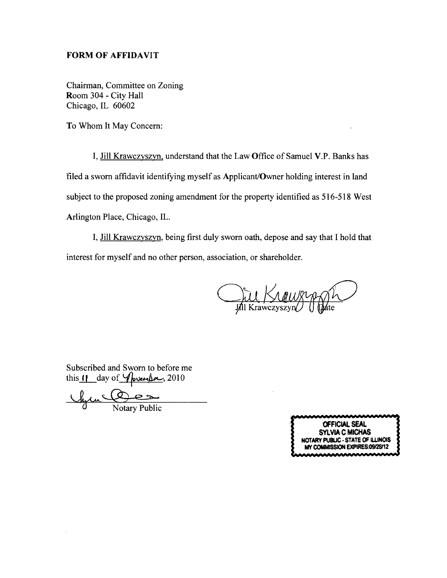#### **FORM OF AFFIDAVIT**

Chairman, Committee on Zoning Room 304 - City Hall Chicago, IL 60602

To Whom It May Concern:

I, Jill Krawczyszyn, understand that the Law Office of Samuel V.P. Banks has filed a sworn affidavit identifying myself as Applicant/Owner holding interest in land subject to the proposed zoning amendment for the property identified as 516-518 West Arlington Place, Chicago, IL.

I, Jill Krawczyszyn, being first duly sworn oath, depose and say that I hold that interest for myself and no other person, association, or shareholder.

<u>- J.U. KACOU)</u><br>J.III Krawczyszyn

Subscribed and Sworn to before me this  $\mathbf{r}$  day of Yourham, 2010

<u>full Oco</u>

OFFICIAL SEAL SYLVIA C MICHAS NOTARY PUBUC - STATE OF ILLINOIS COMMISSION EXPIRES:09/2S/12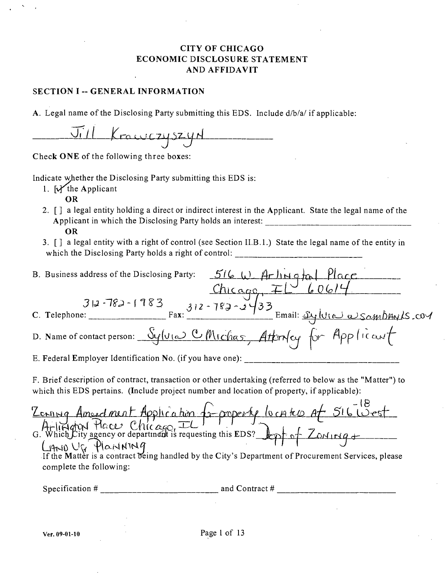#### **CITY OF CHICAGO ECONOMIC DISCLOSURE STATEMENT AND AFFIDAVIT**

#### **SECTION I -- GENERAL INFORMATION**

*A. Legal name of the Disclosing Party submitting this EDS. Include d/b/a/ if applicable:* 

*OiJ\_[ J^rn i.',J4^-21j^ZAjA* 

**Check ONE of the following three boxes:** 

Indicate whether the Disclosing Party submitting this EDS is:

- 1.  $\sqrt{\theta}$ the Applicant OR
- 2. [ ] a legal entity holding a direct or indirect interest in the Applicant. State the legal name of the Applicant in which the Disclosing Party holds an interest: OR
- 3. [] a legal entity with a right of control (see Section II.B. 1.) State the legal name of the entity in which the Disclosing Party holds a right of control: \_\_\_\_\_\_\_\_\_\_\_\_\_\_\_\_\_\_\_\_\_\_\_\_\_\_\_\_

| Arlingtal Place<br>B. Business address of the Disclosing Party:                                                                                                                                         |
|---------------------------------------------------------------------------------------------------------------------------------------------------------------------------------------------------------|
| Chicago $\frac{\pm 1}{60614}$<br>312-782-1983<br>C. Telephone: Fax: $312 - 783 - 2\sqrt{33}$ Email: $\frac{54}{1010}$ ensambrals.cov                                                                    |
|                                                                                                                                                                                                         |
|                                                                                                                                                                                                         |
| D. Name of contact person: Sylvia C Michas, Attenfey for Applicant                                                                                                                                      |
| E. Federal Employer Identification No. (if you have one):                                                                                                                                               |
| F. Brief description of contract, transaction or other undertaking (referred to below as the "Matter") to<br>which this EDS pertains. (Include project number and location of property, if applicable): |
| Zonny Americans Application framperly locates at 516 West                                                                                                                                               |
| (AND UG PLANNING<br>If the Matter is a contract being handled by the City's Department of Procurement Services, please                                                                                  |

complete the following:

Specification # and Contract #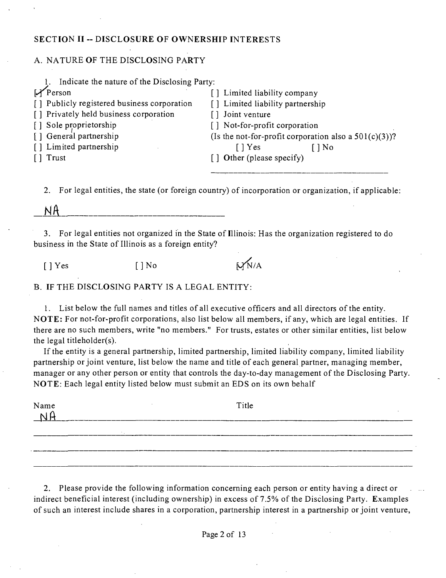#### **SECTION II - DISCLOSURE OF OWNERSHIP INTERESTS**

#### A. NATURE OF THE DISCLOSING PARTY

| Indicate the nature of the Disclosing Party: |                                                          |
|----------------------------------------------|----------------------------------------------------------|
| $\mathcal{F}$ Person                         | [] Limited liability company                             |
| [] Publicly registered business corporation  | [] Limited liability partnership                         |
| [] Privately held business corporation       | Joint venture                                            |
| [] Sole proprietorship                       | [] Not-for-profit corporation                            |
| [] General partnership                       | (Is the not-for-profit corporation also a $501(c)(3)$ )? |
| [] Limited partnership                       | $\lceil$   Yes                                           |
| $\lceil \cdot \rceil$ Trust                  | $\lceil \cdot \rceil$ Other (please specify)             |
|                                              |                                                          |

2. For legal entities, the state (or foreign country) of incorporation or organization, if applicable:

**NA** 

3. For legal entities not organized in the State of Illinois: Has the organization registered to do business in the State of Illinois as a foreign entity?

 $[ ]$  Yes  $[ ]$  No  $\mathbb{W}_{A}$ 

B. IF THE DISCLOSING PARTY IS A LEGAL ENTITY:

1. List below the full names and titles of all executive officers and all directors of the entity. NOTE: For not-for-profit corporations, also list below all members, if any, which are legal entities. If there are no such members, write "no members." For trusts, estates or other similar entities, list below the legal titleholder(s).

If the entity is a general partnership, limited partnership, limited liability company, limited liability partnership or joint venture, list below the name and title of each general partner, managing member, manager or any other person or entity that controls the day-to-day management of the Disclosing Party. NOTE: Each legal entity listed below must submit an EDS on its own behalf

| Name<br>NA | Title |
|------------|-------|
|            |       |
|            |       |

2. Please provide the following information concerning each person or entity having a direct or indirect beneficial interest (including ownership) in excess of 7.5% of the Disclosing Party. Examples of such an interest include shares in a corporation, partnership interest in a partnership or joint venture,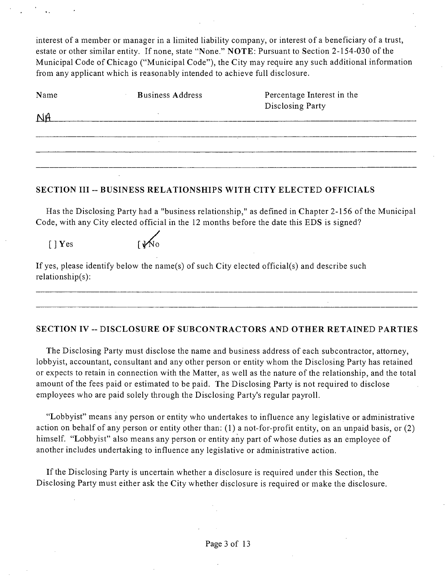interest of a member or manager in a limited liability company, or interest of a beneficiary of a trust, estate or other similar entity. If none, state "None." NOTE: Pursuant to Section 2-154-030 of the Municipal Code of Chicago ("Municipal Code"), the City may require any such additional information from any applicant which is reasonably intended to achieve full disclosure.

| Name | <b>Business Address</b> | Percentage Interest in the<br>Disclosing Party |
|------|-------------------------|------------------------------------------------|
|      |                         |                                                |
|      |                         |                                                |
|      |                         |                                                |

#### **SECTION III - BUSINESS RELATIONSHIPS WITH CITY ELECTED OFFICIALS**

Has the Disclosing Party had a "business relationship," as defined in Chapter 2-156 of the Municipal Code, with any City elected official in the 12 months before the date this EDS is signed?

 $\begin{bmatrix} \n\end{bmatrix} \mathbf{Y}$ es  $\begin{bmatrix} \mathbf{Y} \mathbf{N} \end{bmatrix}$ 

If yes, please identify below the name(s) of such City elected official(s) and describe such relationship(s):

#### **SECTION IV - DISCLOSURE OF SUBCONTRACTORS AND OTHER RETAINED PARTIES**

The Disclosing Party must disclose the name and business address of each subcontractor, attorney, lobbyist, accountant, consultant and any other person or entity whom the Disclosing Party has retained or expects to retain in connection with the Matter, as well as the nature of the relationship, and the total amount of the fees paid or estimated to be paid. The Disclosing Party is not required to disclose employees who are paid solely through the Disclosing Party's regular payroll.

"Lobbyist" means any person or entity who undertakes to influence any legislative or administrative action on behalf of any person or entity other than: (1) a not-for-profit entity, on an unpaid basis, or (2) himself. "Lobbyist" also means any person or entity any part of whose duties as an employee of another includes undertaking to influence any legislative or administrative action.

If the Disclosing Party is uncertain whether a disclosure is required under this Section, the Disclosing Party must either ask the City whether disclosure is required or make the disclosure.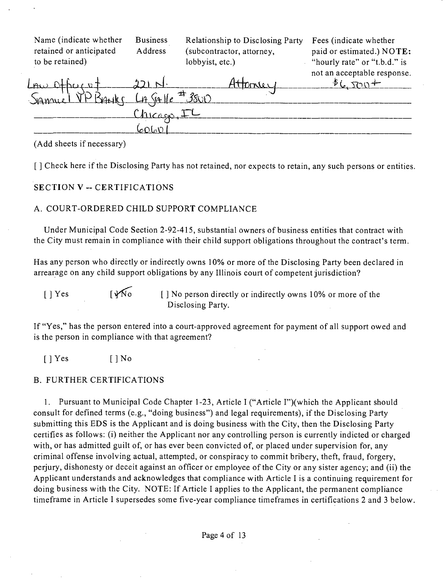| Name (indicate whether<br>retained or anticipated<br>to be retained) | <b>Business</b><br>Address                     | lobbyist, etc.) | Relationship to Disclosing Party<br>(subcontractor, attorney, | Fees (indicate whether<br>paid or estimated.) NOTE:<br>"hourly rate" or "t.b.d." is |
|----------------------------------------------------------------------|------------------------------------------------|-----------------|---------------------------------------------------------------|-------------------------------------------------------------------------------------|
| 400<br>$0 \leftrightarrow$ hrintin                                   |                                                |                 |                                                               | not an acceptable response.                                                         |
|                                                                      | $\int$ $\left  \int e \right $<br>$\mathbf{r}$ | 43800           |                                                               |                                                                                     |
|                                                                      | hicago.                                        |                 |                                                               |                                                                                     |
|                                                                      |                                                |                 |                                                               |                                                                                     |

(Add sheets if necessary)

**[ ] Check here if the Disclosing Party has not retained, nor expects to retain, any such persons or entities.** 

#### **SECTION V ~ CERTIFICATIONS**

#### A. COURT-ORDERED CHILD SUPPORT COMPLIANCE

Under Municipal Code Section 2-92-415, substantial owners of business entities that contract with the City must remain in compliance with their child support obligations throughout the contract's term.

Has any person who directly or indirectly owns 10% or more of the Disclosing Party been declared in arrearage on any child support obligations by any Illinois court of competent jurisdiction?

[ ] Yes  $[\frac{1}{2} N_0 \quad$  [ ] No person directly or indirectly owns 10% or more of the Disclosing Party.

If "Yes," has the person entered into a court-approved agreement for payment of all support owed and is the person in compliance with that agreement?

 $[$  | Yes  $[$  | No

#### B. FURTHER CERTIFICATIONS

1. Pursuant to Municipal Code Chapter 1-23, Article I ("Article I") (which the Applicant should consult for defined terms (e.g., "doing business") and legal requirements), if the Disclosing Party submitting this EDS is the Applicant and is doing business with the City, then the Disclosing Party certifies as follows: (i) neither the Applicant nor any controlling person is currently indicted or charged with, or has admitted guilt of, or has ever been convicted of, or placed under supervision for, any criminal offense involving actual, attempted, or conspiracy to commit bribery, theft, fraud, forgery, perjury,, dishonesty or deceit against an officer or employee of the City or any sister agency; and (ii) the Applicant understands and acknowledges that compliance with Article I is a continuing requirement for doing business with the City. NOTE: If Article I applies to the Applicant, the permanent compliance timeframe in Article I supersedes some five-year compliance timeframes in certifications 2 and 3 below.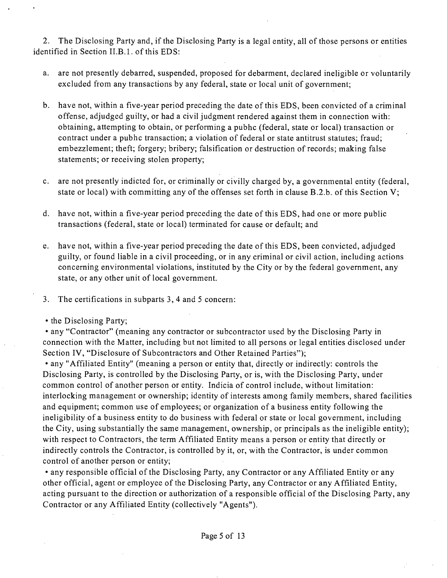2. The Disclosing Party and, if the Disclosing Party is a legal entity, all of those persons or entities identified in Section II.B.1. of this EDS:

- a. are not presently debarred, suspended, proposed for debarment, declared ineligible or voluntarily excluded from any transactions by any federal, state or local unit of government;
- b. have not, within a five-year period preceding the date of this EDS, been convicted of a criminal offense, adjudged guilty, or had a civil judgment rendered against them in connection with: obtaining, attempting to obtain, or performing a pubhc (federal, state or local) transaction or contract under a pubhc transaction; a violation of federal or state antitrust statutes; fraud; embezzlement; theft; forgery; bribery; falsification or destruction of records; making false statements; or receiving stolen property;
- c. are not presently indicted for, or criminally or civilly charged by, a governmental entity (federal, state or local) with committing any of the offenses set forth in clause B.2.b. of this Section V;
- d. have not, within a five-year period preceding the date of this EDS, had one or more public transactions (federal, state or local) terminated for cause or default; and
- e. have not, within a five-year period preceding the date of this EDS, been convicted, adjudged guilty, or found liable in a civil proceeding, or in any criminal or civil action, including actions concerning environmental violations, instituted by the City or by the federal government, any state, or any other unit of local government.
- 3. The certifications in subparts 3, 4 and 5 concern:
- the Disclosing Party;

• any "Contractor" (meaning any contractor or subcontractor used by the Disclosing Party in connection with the Matter, including but not limited to all persons or legal entities disclosed under Section IV, "Disclosure of Subcontractors and Other Retained Parties");

• any "Affiliated Entity" (meaning a person or entity that, directly or indirectly: controls the Disclosing Party, is controlled by the Disclosing Party, or is, with the Disclosing Party, under common control of another person or entity. Indicia of control include, without limitation: interlocking management or ownership; identity of interests among family members, shared facilities and equipment; common use of employees; or organizadon of a business entity following the ineligibility of a business entity to do business with federal or state or local government, including the City, using substantially the same management, ownership, or principals as the ineligible entity); with respect to Contractors, the term Affiliated Entity means a person or entity that directly or indirectly controls the Contractor, is controlled by it, or, with the Contractor, is under common control of another person or entity;

• any responsible official of the Disclosing Party, any Contractor or any Affiliated Entity or any other official, agent or employee of the Disclosing Party, any Contractor or any Affiliated Entity, acting pursuant to the direction or authorization of a responsible official of the Disclosing Party, any Contractor or any Affiliated Entity (collectively "Agents").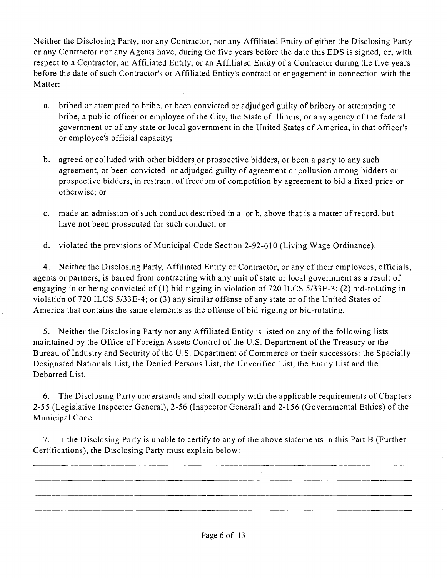Neither the Disclosing Party, nor any Contractor, nor any Affiliated Entity of either the Disclosing Party or any Contractor nor any Agents have, during the five years before the date this EDS is signed, or, with respect to a Contractor, an Affiliated Entity, or an Affiliated Entity of a Contractor during the five years before the date of such Contractor's or Affiliated Entity's contract or engagement in connection with the Matter:

- a. bribed or attempted to bribe, or been convicted or adjudged guilty of bribery or attempting to bribe, a public officer or employee of the City, the State of Illinois, or any agency of the federal government or of any state or local government in the United States of America, in that officer's or employee's official capacity;
- b. agreed or colluded with other bidders or prospective bidders, or been a party to any such agreement, or been convicted or adjudged guilty of agreement or collusion among bidders or prospective bidders, in restraint of freedom of competition by agreement to bid a fixed price or otherwise; or
- c. made an admission of such conduct described in a. or b. above that is a matter of record, but have not been prosecuted for such conduct; or
- d. violated the provisions of Municipal Code Section 2-92-610 (Living Wage Ordinance).

4. Neither the Disclosing Party, Affiliated Entity or Contractor, or any of their employees, officials, agents or partners, is barred from contracting with any unit of state or local government as a result of engaging in or being convicted of (1) bid-rigging in violation of 720 ILCS 5/33E-3; (2) bid-rotating in violation of 720 ILCS 5/33E-4; or (3) any similar offense of any state or of the United States of America that contains the same elements as the offense of bid-rigging or bid-rotating.

5. Neither the Disclosing Party nor any Affiliated Entity is listed on any of the following lists maintained by the Office of Foreign Assets Control of the U.S. Department of the Treasury or the Bureau of Industry and Security of the U.S. Department of Commerce or their successors: the Specially Designated Nationals List, the Denied Persons List, the Unverified List, the Entity List and the Debarred List.

6. The Disclosing Party understands and shall comply with the applicable requirements of Chapters 2-55 (Legislative Inspector General), 2-56 (Inspector General) and 2-156 (Governmental Ethics) of the Municipal Code.

7. If the Disclosing Party is unable to certify to any of the above statements in this Part B (Further Certifications), the Disclosing Party must explain below:

Page 6 of 13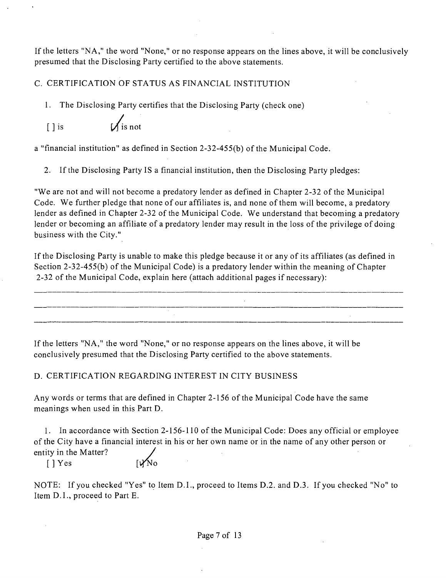If the letters "NA, " the word "None," or no response appears on the lines above, it will be conclusively presumed that the Disclosing Party certified to the above statements.

#### C. CERTIFICATION OF STATUS AS FINANCIAL INSTITUTION

1. The Disclosing Party certifies that the Disclosing Party (check one)

 $\int$  is  $\int$  is not

a "financial institution" as defined in Section 2-32-455(b) of the Municipal Code.

2. If the Disclosing Party IS a financial institution, then the Disclosing Party pledges:

"We are not and will not become a predatory lender as defined in Chapter 2-32 of the Municipal Code. We further pledge that none of our affiliates is, and none of them will become, a predatory lender as defined in Chapter 2-32 of the Municipal Code. We understand that becoming a predatory lender or becoming an affiliate of a predatory lender may result in the loss of the privilege of doing business with the City."

If the Disclosing Party is unable to make this pledge because it or any of its affiliates (as defined in Section 2-32-455(b) of the Municipal Code) is a predatory lender within the meaning of Chapter 2-32 of the Municipal Code, explain here (attach additional pages if necessary):

If the letters "NA, " the word "None," or no response appears on the lines above, it will be conclusively presumed that the Disclosing Party certified to the above statements.

#### D. CERTIFICATION REGARDING INTEREST IN CITY BUSINESS

Any words or terms that are defined in Chapter 2-156 of the Municipal Code have the same meanings when used in this Part D.

1. In accordance with Section 2-156-110 of the Municipal Code: Does any official or employee of the City have a financial interest in his or her own name or in the name of any other person or entity in the Matter?  $[$   $]$   $Y$   $e$ *s* 

NOTE: If you checked "Yes" to Item D.I., proceed to Items D.2. and D.3. If you checked "No" to Item D.I., proceed to Part E.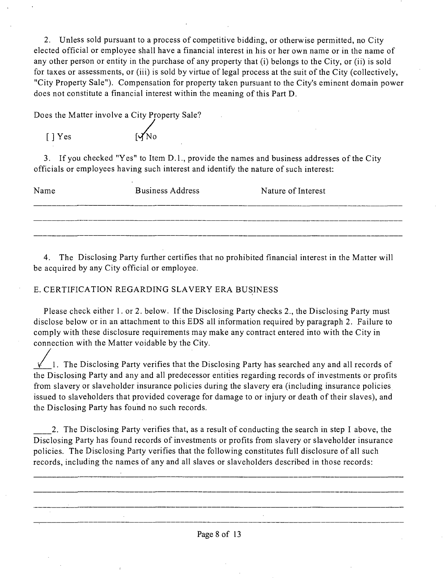2. Unless sold pursuant to a process of competitive bidding, or otherwise permitted, no City elected official or employee shall have a financial interest in his or her own name or in the name of any other person or entity in the purchase of any property that (i) belongs to the City, or (ii) is sold for taxes or assessments, or (iii) is sold by virtue of legal process at the suit of the City (collectively, "City Property Sale"). Compensation for property taken pursuant to the City's eminent domain power does not constitute a financial interest within the meaning of this Part D.

Does the Matter involve a City Property Sale?

[ ] Yes

3. If you checked "Yes" to Item D.I., provide the names and business addresses of the City officials or employees having such interest and identify the nature of such interest:

| Name | <b>Business Address</b> | Nature of Interest |  |
|------|-------------------------|--------------------|--|
|      |                         |                    |  |
|      |                         |                    |  |

4. The Disclosing Party further certifies that no prohibited financial interest in the Matter will be acquired by any City official or employee.

#### E. CERTIFICATION REGARDING SLAVERY ERA BUSINESS

Please check either 1. or 2. below. If the Disclosing Party checks 2., the Disclosing Party must disclose below or in an attachment to this EDS all information required by paragraph 2. Failure to comply with these disclosure requirements may make any contract entered into with the City in connection with the Matter voidable by the City.

1. The Disclosing Party verifies that the Disclosing Party has searched any and all records of the Disclosing Party and any and all predecessor entities regarding records of investments or profits from slavery or slaveholder insurance policies during the slavery era (including insurance policies issued to slaveholders that provided coverage for damage to or injury or death of their slaves), and the Disclosing Party has found no such records.

2. The Disclosing Party verifies that, as a result of conducting the search in step I above, the Disclosing Party has found records of investments or profits from slavery or slaveholder insurance policies. The Disclosing Party verifies that the following constitutes full disclosure of all such records, including the names of any and all slaves or slaveholders described in those records: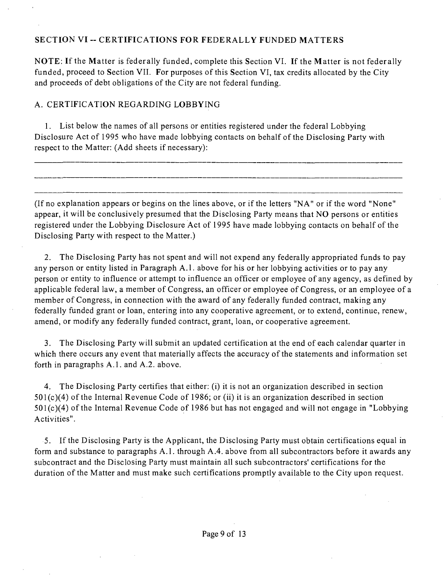#### **SECTION VI - CERTIFICATIONS FOR FEDERALLY FUNDED MATTERS**

NOTE: If the Matter is federally funded, complete this Section VI. If the Matter is not federally funded, proceed to Section VII. For purposes of this Section VI, tax credits allocated by the City and proceeds of debt obligations of the City are not federal funding.

#### A. CERTIFICATION REGARDING LOBBYING

1. List below the names of all persons or entities registered under the federal Lobbying Disclosure Act of 1995 who have made lobbying contacts on behalf of the Disclosing Party with respect to the Matter: (Add sheets if necessary):

(If no explanation appears or begins on the lines above, or if the letters "NA" or if the word "None" appear, it will be conclusively presumed that the Disclosing Party means that NO persons or entities registered under the Lobbying Disclosure Act of 1995 have made lobbying contacts on behalf of the Disclosing Party with respect to the Matter.)

2. The Disclosing Party has not spent and will not expend any federally appropriated funds to pay any person or entity listed in Paragraph A.1. above for his or her lobbying activities or to pay any person or entity to influence or attempt to influence an officer or employee of any agency, as defined by applicable federal law, a member of Congress, an officer or employee of Congress, or an employee of a member of Congress, in connection with the award of any federally funded contract, making any federally funded grant or loan, entering into any cooperative agreement, or to extend, continue, renew, amend, or modify any federally funded contract, grant, loan, or cooperative agreement.

3. The Disclosing Party will submit an updated certification at the end of each calendar quarter in which there occurs any event that materially affects the accuracy of the statements and information set forth in paragraphs A.1. and A.2. above.

4. The Disclosing Party certifies that either: (i) it is not an organization described in section 501(c)(4) of the Internal Revenue Code of 1986; or (ii) it is an organization described in section 501(c)(4) of the Internal Revenue Code of 1986 but has not engaged and will not engage in "Lobbying Activities".

5. If the Disclosing Party is the Applicant, the Disclosing Party must obtain certifications equal in form and substance to paragraphs A.l . through A.4. above from all subcontractors before it awards any subcontract and the Disclosing Party must maintain all such subcontractors' certifications for the duration of the Matter and must make such certifications promptly available to the City upon request.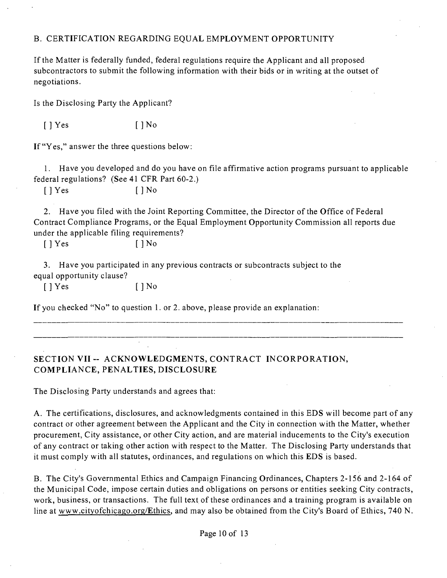#### B. CERTIFICATION REGARDING EQUAL EMPLOYMENT OPPORTUNITY

If the Matter is federally funded, federal regulations require the Applicant and all proposed subcontractors to submit the following information with their bids or in writing at the outset of negotiations.

Is the Disclosing Party the Applicant?

 $[ ]$  Yes  $[ ]$  No

If "Yes," answer the three questions below:

1. Have you developed and do you have on file affirmative action programs pursuant to applicable federal regulations? (See 41 CFR Part 60-2.)

 $[$  | Yes  $[$  | No

2. Have you filed with the Joint Reporting Committee, the Director of the Office of Federal Contract Compliance Programs, or the Equal Employment Opportunity Commission all reports due under the applicable filing requirements?

 $[ ]$  Yes  $[ ]$  No

3. Have you participated in any previous contracts or subcontracts subject to the equal opportunity clause?

[ ] Yes [ ] No

If you checked "No" to question 1. or 2. above, please provide an explanation:

#### **SECTION VII ~ ACKNOWLEDGMENTS, CONTRACT INCORPORATION, COMPLIANCE, PENALTIES, DISCLOSURE**

The Disclosing Party understands and agrees that:

A. The certifications, disclosures, and acknowledgments contained in this EDS will become part of any contract or other agreement between the Applicant and the City in connection with the Matter, whether procurement. City assistance, or other City action, and are material inducements to the City's execution of any contract or taking other action with respect to the Matter. The Disclosing Party understands that it must comply with all statutes, ordinances, and regulations on which this EDS is based.

B. The City's Governmental Ethics and Campaign Financing Ordinances, Chapters 2-156 and 2-164 of the Municipal Code, impose certain duties and obligations on persons or entities seeking City contracts, work, business, or transactions. The full text of these ordinances and a training program is available on line at www.cityofchicago.org/Ethics, and may also be obtained from the City's Board of Ethics, 740 N.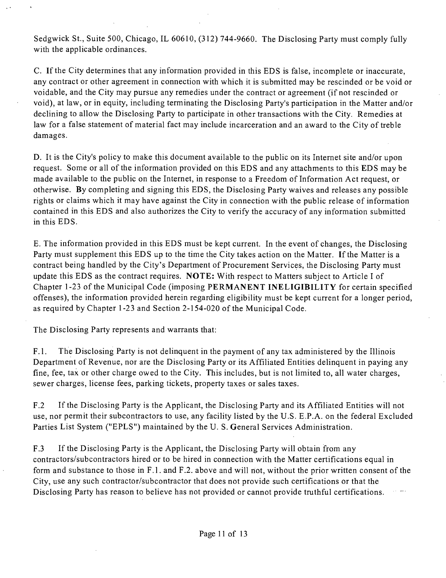Sedgwick St., Suite 500, Chicago, IL 60610, (312) 744-9660. The Disclosing Party must comply fully with the applicable ordinances.

C. If the City determines that any information provided in this EDS is false, incomplete or inaccurate, any contract or other agreement in connection with which it is submitted may be rescinded or be void or voidable, and the City may pursue any remedies under the contract or agreement (if not rescinded or void), at law, or in equity, including terminating the Disclosing Party's participation in the Matter and/or declining to allow the Disclosing Party to participate in other transactions with the City. Remedies at law for a false statement of material fact may include incarceration and an award to the City of treble damages.

D. It is the City's policy to make this document available to the public on its Internet site and/or upon request. Some or all of the information provided on this EDS and any attachments to this EDS may be made available to the public on the Internet, in response to a Freedom of Information Act request, or otherwise. By compledng and signing this EDS, the Disclosing Party waives and releases any possible rights or claims which it may have against the City in connection with the public release of information contained in this EDS and also authorizes the City to verify the accuracy of any information submitted in this EDS.

E. The information provided in this EDS must be kept current. In the event of changes, the Disclosing Party must supplement this EDS up to the time the City takes action on the Matter. If the Matter is a contract being handled by the City's Department of Procurement Services, the Disclosing Party must update this EDS as the contract requires. NOTE: With respect to Matters subject to Article I of Chapter 1-23 of the Municipal Code (imposing PERMANENT INELIGIBILITY for certain specified offenses), the information provided herein regarding eligibility must be kept current for a longer period, as required by Chapter 1-23 and Section 2-154-020 of the Municipal Code.

The Disclosing Party represents and warrants that:

F.1. The Disclosing Party is not delinquent in the payment of any tax administered by the Illinois Department of Revenue, nor are the Disclosing Party or its Affiliated Entities delinquent in paying any fine, fee, tax or other charge owed to the City. This includes, but is not limited to, all water charges, sewer charges, license fees, parking tickets, property taxes or sales taxes.

F.2 If the Disclosing Party is the Applicant, the Disclosing Party and its Affiliated Entities will not use, nor permit their subcontractors to use, any facility listed by the U.S. E.P.A. on the federal Excluded Parties List System ("EPLS") maintained by the U. S. General Services Administration.

F.3 If the Disclosing Party is the Applicant, the Disclosing Party will obtain from any contractors/subcontractors hired or to be hired in connection with the Matter certifications equal in form and substance to those in F.l . and F.2. above and will not, without the prior written consent of the City, use any such contractor/subcontractor that does not provide such certifications or that the Disclosing Party has reason to believe has not provided or cannot provide truthful certifications.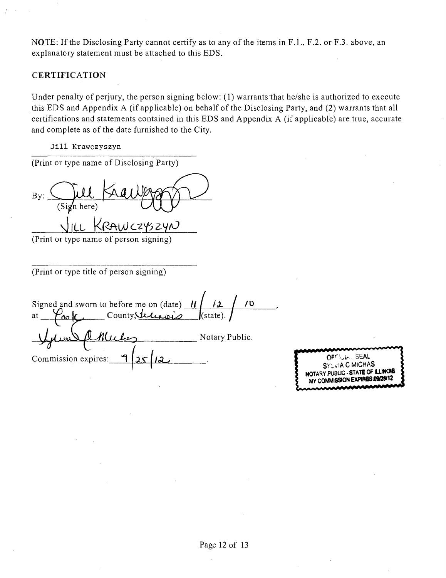NOTE: If the Disclosing Party cannot certify as to any of the items in F.l., F.2. or F.3. above, an explanatory statement must be attached to this EDS.

#### **CERTIFICATION**

Under penalty of perjury, the person signing below: (1) warrants that he/she is authorized to execute this EDS and Appendix A (if applicable) on behalf of the Disclosing Party, and (2) warrants that all certifications and statements contained in this EDS and Appendix A (if applicable) are true, accurate and complete as of the date furnished to the City.

Jill Krawczyszyn

(Print or type name of Disclosing Party)

By:  $(Sig'n \text{ here})$ RAWCZYSZYN

(Print or type name of person signing)

(Print or type title of person signing)

| Signed and sworn to before me on (date) |                |                                  |
|-----------------------------------------|----------------|----------------------------------|
| County Selineis<br>at<br>OO.            | $(st)$ .       |                                  |
|                                         | Notary Public. |                                  |
| Commission expires:                     |                | OFTIVIAL SEAL<br>SYLVIA C MICHA! |

| ∽∼∼                               |
|-----------------------------------|
| OFT UILL SEAL                     |
| <b>SYLVIA C MICHAS</b>            |
| NOTARY PUBLIC - STATE OF ILLINOIS |
| MY COMMISSION EXPIRES:09/25/12    |
|                                   |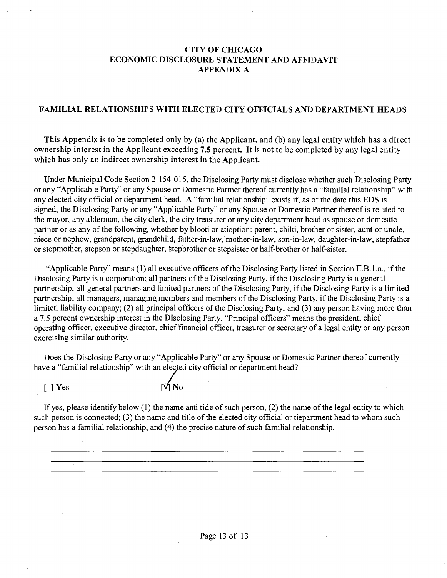#### **CITY OF CHICAGO ECONOMIC DISCLOSURE STATEMENT AND AFFIDAVIT APPENDIX A**

#### FAMILLAL RELATIONSHIPS WITH ELECTED CITY OFFICIALS AND DEPARTMENT HEADS

**This Appendix is to be completed only by (a) the Applicant, and (b) any legal entity which has a direct ownership interest in the Applicant exceeding 7,5 percent. It is not to be completed by any legal entity which has only an indirect ownership interest in the Applicant.** 

Under Municipal Code Section 2-154-015, the Disclosing Party must disclose whether such Disclosing Party or any "Applicable Party" or any Spouse or Domestic Partner thereof currently has a "familial relationship" with any elected city official or tiepartment head. A "familial relationship" exists if, as of the date this EDS is signed, the Disclosing Party or any "Applicable Party" or any Spouse or Domestic Partner thereof is related to the mayor, any alderman, the city clerk, the city treasurer or any city department head as spouse or domestic partner or as any of the following, whether by blooti or atioption: parent, chilti, brother or sister, aunt or uncle, niece or nephew, grandparent, grandchild, father-in-law, mother-in-law, son-in-law, daughter-in-law, stepfather or stepmother, stepson or stepdaughter, stepbrother or stepsister or half-brother or half-sister.

"Applicable Party" means (1) all executive officers of the Disclosing Party listed in Section II.B.1.a., if the Disclosing Party is a corporation; all partners of the Disclosing Party, if the Disclosing Party is a general partnership; all general partners and limited partners of the Disclosing Party, if the Disclosing Party is a limited partnership; all managers, managing members and members of the Disclosing Party, if the Disclosing Party is a limiteti liability company; (2) all principal officers of the Disclosing Party; and (3) any person having more than a 7.5 percent ownership interest in the Disclosing Party. "Principal officers" means the president, chief operating officer, executive director, chief financial officer, treasurer or secretary of a legal entity or any person exercising similar authority.

Does the Disclosing Party or any "Applicable Party" or any Spouse or Domestic Partner thereof currently have a "familial relationship" with an electeti city official or department head?

 $[ \ ]$  Yes  $[ \forall \]$  No

If yes, please identify below  $(1)$  the name anti tide of such person,  $(2)$  the name of the legal entity to which such person is connected; (3) the name and title of the elected city official or tiepartment head to whom such person has a familial relationship, and (4) the precise nature of such familial relationship.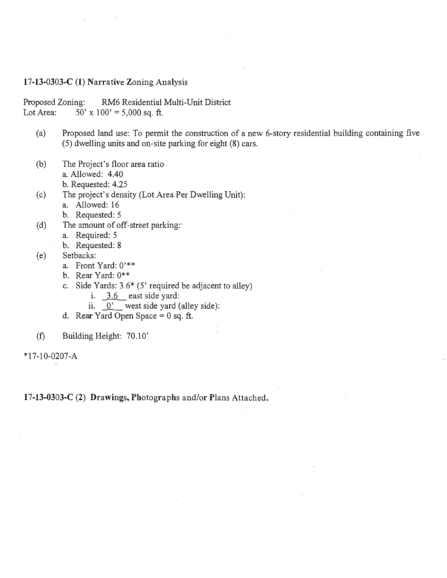#### **17-13-0303-C (1) Narrative Zoning Analysis**

Proposed Zoning: RM6 Residential Multi-Unit District Lot Area:  $50' \times 100' = 5,000$  sq. ft.

- (a) Proposed land use: To permit the construction of a new 6-story residendal building containing five (5) dwelling units and on-site parking for eight (8) cars.
- (b) The Project's floor area ratio a. Allowed: 4.40 b. Requested: 4.25
- (c) The project's density (Lot Area Per Dwelling Unit):
	- a. Allowed: 16
	- b. Requested: 5
- (d) The amount of off-street parking:
	- a. Required: 5
	- b. Requested: 8
- (e) Setbacks:
	- a. Front Yard: 0'\*\*
	- b. Rear Yard: 0\*\*
	- c. Side Yards: 3.6\* (5' required be adjacent to alley)
		- i.  $\frac{3.6}{ }$  east side yard:
	- ii.  $\overline{0'}$  west side yard (alley side):<br>d. Rear Yard Open Space = 0 sq. ft.
	- d. Rear Yard Open Space = 0 sq. ft.
- $\mathcal{L}$  Building Height:  $\mathcal{L}$

 $*17-10-0207-A$ \* 17-10-0207-A

**17-13-0303-C (2) Drawings, Photographs and/or Plans Attached.**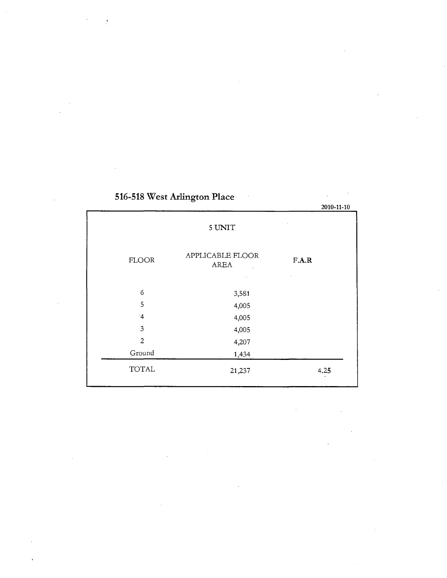|                |                          | 2010-11-10 |
|----------------|--------------------------|------------|
|                | 5 UNIT                   |            |
| <b>FLOOR</b>   | APPLICABLE FLOOR<br>AREA | F.A.R      |
| 6              | 3,581                    |            |
| 5              | 4,005                    |            |
| $\dot{4}$      | 4,005                    |            |
| 3              | 4,005                    |            |
| $\overline{2}$ | 4,207                    |            |
| Ground         | 1,434                    |            |
| <b>TOTAL</b>   | 21,237                   | 4.25       |
|                |                          |            |

 $\hat{\boldsymbol{\beta}}$ 

**516-518 West Arlington Place**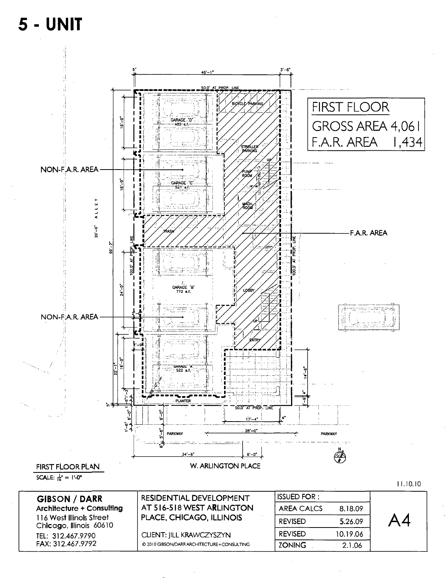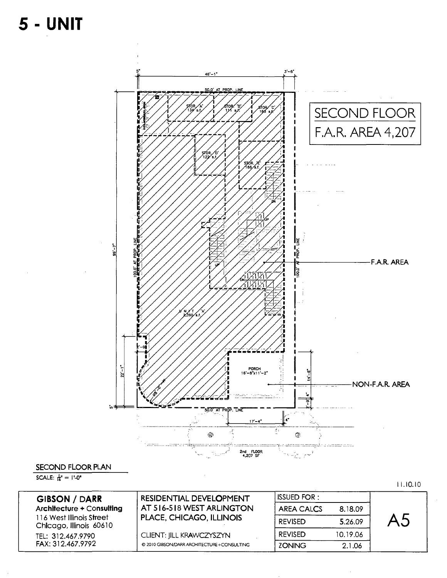

#### **SECOND FLOOR PLAN**

SCALE:  $t_0^{L} = 1 - 0^{\alpha}$ 

| <b>GIBSON / DARR</b>                                | RESIDENTIAL DEVELOPMENT                      | <b>ISSUED FOR:</b> |          |                 |
|-----------------------------------------------------|----------------------------------------------|--------------------|----------|-----------------|
| Architecture + Consulting                           | AT 516-518 WEST ARLINGTON                    | <b>AREA CALCS</b>  | 8.18.09  |                 |
| 116 West Illinois Street<br>Chicago, Illinois 60610 | PLACE, CHICAGO, ILLINOIS                     | <b>REVISED</b>     | 5.26.09  | $\overline{45}$ |
| TEL: 312.467.9790                                   | CLIENT: JILL KRAWCZYSZYN                     | <b>REVISED</b>     | 10.19.06 |                 |
| FAX: 312.467.9792                                   | C 2010 GIBSON/DARR ARCHITECTURE + CONSULTING | <b>ZONING</b>      | 2.1.06   |                 |

 $11.10.10$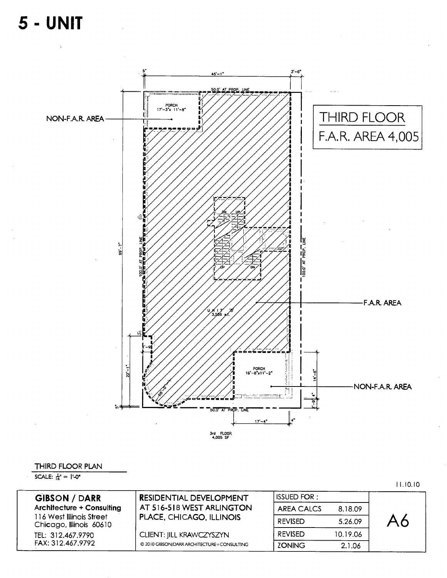

#### THIRD FLOOR PLAN

SCALE:  $\frac{1}{16}$ " =  $1 - 0$ "

| GIBSON / DARR                                       | <b>RESIDENTIAL DEVELOPMENT</b>               | <b>ISSUED FOR:</b> |          |    |
|-----------------------------------------------------|----------------------------------------------|--------------------|----------|----|
| <b>Architecture + Consulting</b>                    | AT 516-518 WEST ARLINGTON                    | AREA CALCS         | 8.18.09  |    |
| 116 West Illinois Street<br>Chicago, Illinois 60610 | PLACE, CHICAGO, ILLINOIS                     | <b>REVISED</b>     | 5.26.09  | A6 |
| TEL: 312.467.9790                                   | CLIENT: IILL KRAWCZYSZYN                     | <b>REVISED</b>     | 10.19.06 |    |
| FAX: 312.467.9792                                   | C 2010 GIBSON/DARR ARCHITECTURE + CONSULTING | <b>ZONING</b>      | 2.1.06   |    |

I 1.10.10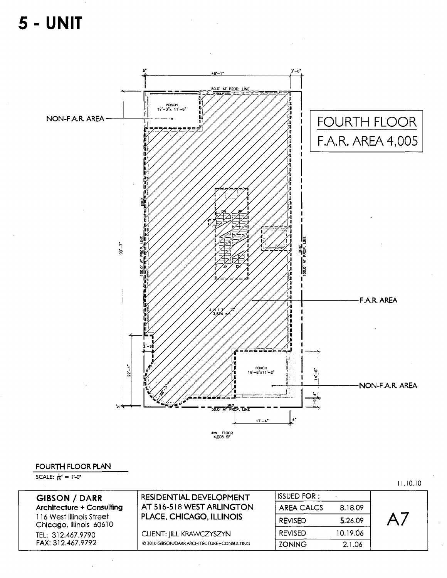

#### **FOURTH FLOOR PLAN**

 $\sim$ 

 $SCALE:  $\frac{1}{16} = 1 - 0^{\circ}$$ 

| GIBSON / DARR                                       | RESIDENTIAL DEVELOPMENT                      | <b>ISSUED FOR:</b> |          |    |
|-----------------------------------------------------|----------------------------------------------|--------------------|----------|----|
| <b>Architecture + Consulting</b>                    | AT 516-518 WEST ARLINGTON                    | <b>AREA CALCS</b>  | 8.18.09  |    |
| 116 West Illinois Street<br>Chicago, Illinois 60610 | <b>PLACE, CHICAGO, ILLINOIS</b>              | <b>REVISED</b>     | 5.26.09  | A7 |
| TEL: 312.467.9790                                   | CLIENT: ILL KRAWCZYSZYN                      | <b>REVISED</b>     | 10.19.06 |    |
| FAX: 312.467.9792                                   | C 2010 GIBSON/DARR ARCHITECTURE + CONSULTING | <b>ZONING</b>      | 2.1.06   |    |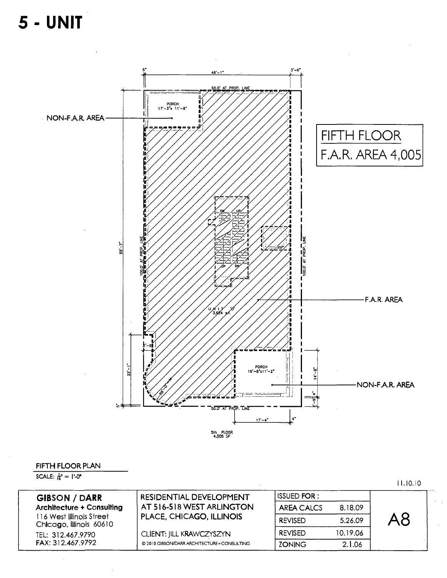

#### **FIFTH FLOOR PLAN**

 $SCALE: \frac{1}{16} = 1! -0$ "

I.IO.IO

| <b>GIBSON / DARR</b>                                | RESIDENTIAL DEVELOPMENT                    | <b>ISSUED FOR:</b> |          |    |
|-----------------------------------------------------|--------------------------------------------|--------------------|----------|----|
| <b>Architecture + Consulting</b>                    | AT 516-518 WEST ARLINGTON                  | <b>AREA CALCS</b>  | 8.18.09  |    |
| 116 West Illinois Street<br>Chicago, Illinois 60610 | PLACE, CHICAGO, ILLINOIS                   | <b>REVISED</b>     | 5.26.09  | Α8 |
| TEL: 312.467.9790                                   | CLIENT: JILL KRAWCZYSZYN                   | <b>REVISED</b>     | 10.19.06 |    |
| FAX: 312.467.9792                                   | © 2010 GIBSON/DARR ARCHITECTURE+CONSULTING | <b>ZONING</b>      | 2.1.06   |    |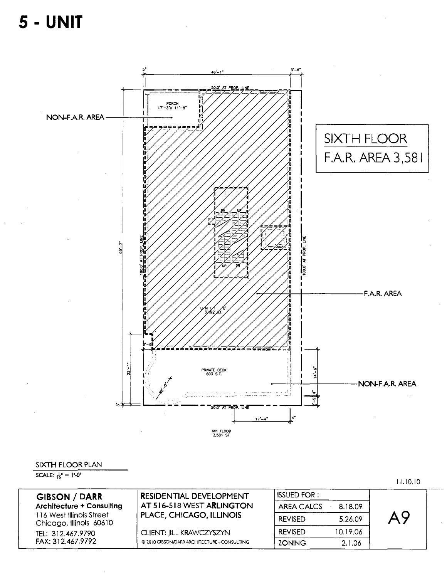

#### **SIXTH FLOOR PLAN**

 $SCALE: \frac{1}{16} = 1 - 0^{\mu}$ 

.10.10

| GIBSON / DARR                                       | <b>RESIDENTIAL DEVELOPMENT</b>             | <b>ISSUED FOR:</b> |          |    |
|-----------------------------------------------------|--------------------------------------------|--------------------|----------|----|
| <b>Architecture + Consulting</b>                    | AT 516-518 WEST ARLINGTON                  | <b>AREA CALCS</b>  | 8.18.09  |    |
| 116 West Illinois Street<br>Chicago, Illinois 60610 | PLACE, CHICAGO, ILLINOIS                   | <b>REVISED</b>     | 5.26.09  | А9 |
| TEL: 312.467.9790                                   | CLIENT: IILL KRAWCZYSZYN                   | <b>REVISED</b>     | 10.19.06 |    |
| FAX: 312.467.9792                                   | © 2010 GIBSON/DARR ARCHITECTURE+CONSULTING | <b>ZONING</b>      | 2.1.06   |    |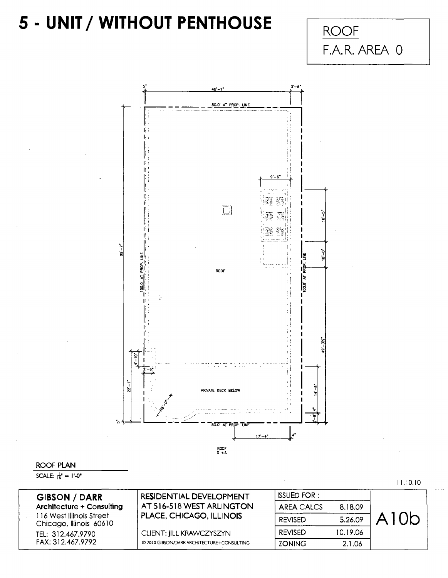# **5 - UNIT / WITHOUT PENTHOUSE**





**ROOF PLAN** 

 $SCALE: \frac{1}{16} = 1! \cdot 0$ "

| ------                                              |                                            |                     |          | 11.10.10 |
|-----------------------------------------------------|--------------------------------------------|---------------------|----------|----------|
| <b>GIBSON / DARR</b>                                | RESIDENTIAL DEVELOPMENT                    | <b>ISSUED FOR :</b> |          |          |
| <b>Architecture + Consulting</b>                    | AT 516-518 WEST ARLINGTON                  | <b>AREA CALCS</b>   | 8.18.09  |          |
| 116 West Illinois Street<br>Chicago, Illinois 60610 | PLACE, CHICAGO, ILLINOIS                   | <b>REVISED</b>      | 5.26.09  |          |
| TEL: 312.467.9790                                   | CLIENT: JILL KRAWCZYSZYN                   | <b>REVISED</b>      | 10.19.06 |          |
| FAX: 312.467.9792                                   | C 2010 GIBSON/DARR ARCHITECTURE+CONSULTING | <b>ZONING</b>       | 2.1.06   |          |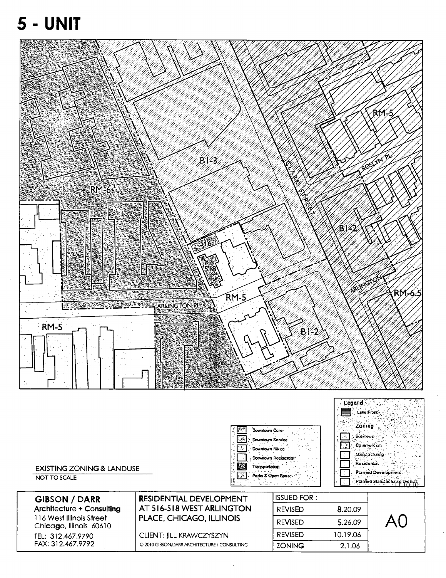



EXISTING ZONING & LANDUSE NOT TO SCALE

**GIBSON / DARR**  Architecture + Consulting 116 West Illinois Street Chicago, Illinois 60610 TEL: 312.467.9790 FAX: 312.467.9792

# PLACE. CHICAGO. ILLINOIS

CLIENT: JILL KRAWCZYSZYN © 2010 GIBSON/DARR ARCHITECTURE+CONSULTING

| ISSUED FOR :   |          |  |
|----------------|----------|--|
| <b>REVISED</b> | 8.20.09  |  |
| <b>REVISED</b> | 5.26.09  |  |
| <b>REVISED</b> | 10.19.06 |  |
| <b>ZONING</b>  | 2.1.06   |  |

Legend . . . .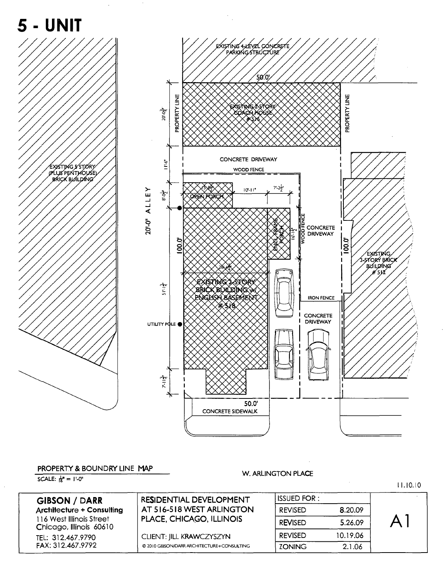

#### PROPERTY & BOUNDRY LINE MAP

 $SCALE:  $\frac{1}{16} = 1! -0$ "$ 

#### W. ARLINGTON PLACE

I.IO.IO

| GIBSON / DARR                                       | <b>RESIDENTIAL DEVELOPMENT</b>             | <b>ISSUED FOR:</b> |          |  |
|-----------------------------------------------------|--------------------------------------------|--------------------|----------|--|
| <b>Architecture + Consulting</b>                    | AT 516-518 WEST ARLINGTON                  | REVISED            | 8.20.09  |  |
| 116 West Illinois Street<br>Chicago, Illinois 60610 | PLACE, CHICAGO, ILLINOIS                   | <b>REVISED</b>     | 5.26.09  |  |
| TEL: 312.467.9790                                   | CLIENT: JILL KRAWCZYSZYN                   | REVISED            | 10.19.06 |  |
| FAX: 312.467.9792                                   | C 2010 GIBSON/DARR ARCHITECTURE+CONSULTING | <b>ZONING</b>      | 2.1.06   |  |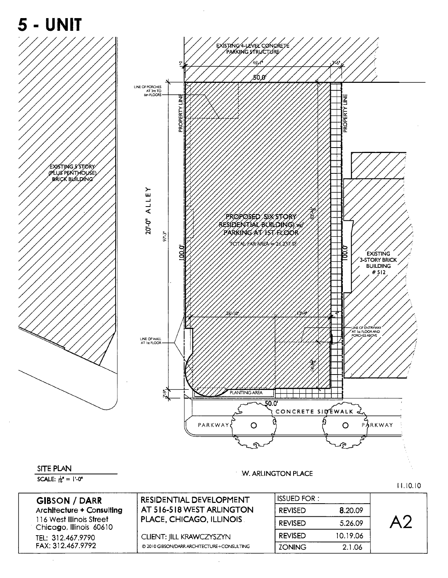

| <b>GIBSON / DARR</b>                                | <b>RESIDENTIAL DEVELOPMENT</b>             | <b>ISSUED FOR :</b> |          |    |
|-----------------------------------------------------|--------------------------------------------|---------------------|----------|----|
| Architecture + Consulting                           | AT 516-518 WEST ARLINGTON                  | <b>REVISED</b>      | 8.20.09  |    |
| 116 West Illinois Street<br>Chicago, Illinois 60610 | <b>PLACE, CHICAGO, ILLINOIS.</b>           | <b>REVISED</b>      | 5.26.09  | A2 |
| TEL: 312.467.9790                                   | CLIENT: ILL KRAWCZYSZYN                    | <b>REVISED</b>      | 10.19.06 |    |
| FAX: 312.467.9792                                   | © 2010 GIBSON/DARR ARCHITECTURE+CONSULTING | <b>ZONING</b>       | 2.1.06   |    |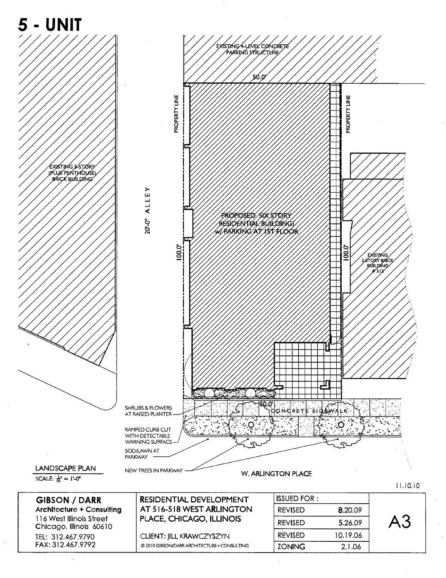

FAX: 312.467.9792

ZONING 2.1.06 CLIENT: JILL KRAWCZYSZYN © 2010 GIBSON/DARR ARCHITECTURE + CONSULTING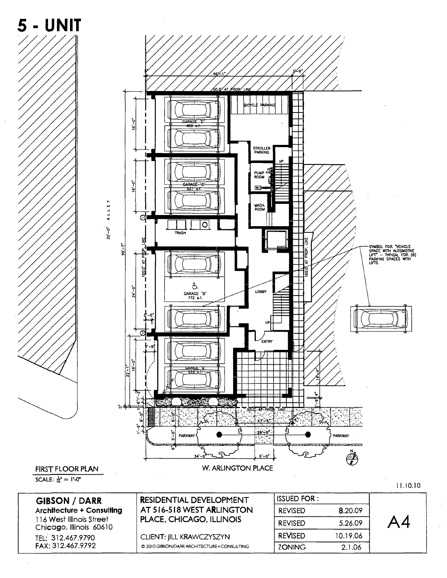

TEL: 312.467.9790<br>FAX: 312.467.9792

CLIENT: JILL KRAWCZYSZYN **REVISED** 10.19.06 **CONSULTABLE ON SULTING ARCHITECTURE+CONSULTING ZONING 2.1.06**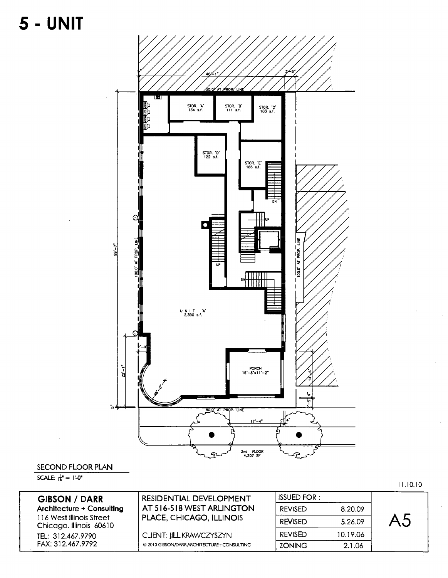

#### SECOND FLOOR PLAN

SCALE:  $\frac{1}{16}$ " = 1'-0"

 $\hat{\boldsymbol{z}}$ 

| GIBSON / DARR                                       | <b>RESIDENTIAL DEVELOPMENT</b>               | <b>ISSUED FOR:</b> |          |     |
|-----------------------------------------------------|----------------------------------------------|--------------------|----------|-----|
| <b>Architecture + Consulting</b>                    | AT 516-518 WEST ARLINGTON                    | <b>REVISED</b>     | 8.20.09  |     |
| 116 West Illinois Street<br>Chicago, Illinois 60610 | PLACE, CHICAGO, ILLINOIS                     | <b>REVISED</b>     | 5.26.09  | A.5 |
| TEL: 312.467.9790                                   | CLIENT: JILL KRAWCZYSZYN                     | <b>REVISED</b>     | 10.19.06 |     |
| FAX: 312.467.9792                                   | © 2010 GIBSON/DARR ARCHITECTURE + CONSULTING | <b>ZONING</b>      | 2.1.06   |     |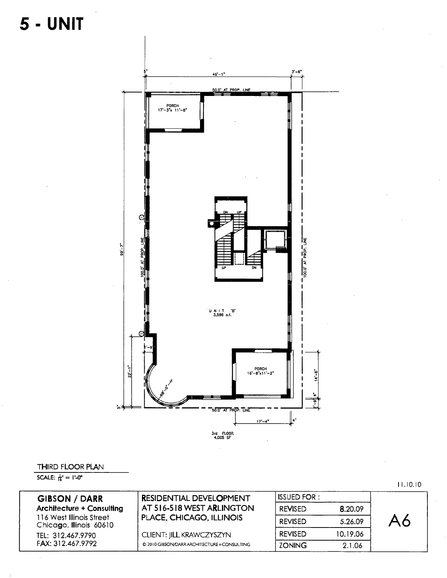

THIRD FLOOR PLAN

SCALE:  $\frac{1}{16}$ <sup>v</sup> = l'-0<sup>°</sup>

 $\mathcal{I}$ 

| GIBSON / DARR                                       | <b>RESIDENTIAL DEVELOPMENT</b>                        | <b>ISSUED FOR:</b> |          |    |
|-----------------------------------------------------|-------------------------------------------------------|--------------------|----------|----|
| <b>Architecture + Consulting</b>                    | AT 516-518 WEST ARLINGTON<br>PLACE, CHICAGO, ILLINOIS | <b>REVISED</b>     | 8.20.09  |    |
| 116 West Illinois Street<br>Chicago, Illinois 60610 |                                                       | <b>REVISED</b>     | 5.26.09  | A6 |
| TEL: 312.467.9790                                   | CLIENT: JILL KRAWCZYSZYN                              | <b>REVISED</b>     | 10.19.06 |    |
| FAX: 312.467.9792                                   | C 2010 GIBSON/DARR ARCHITECTURE+CONSULTING            | <b>ZONING</b>      | 2.1.06   |    |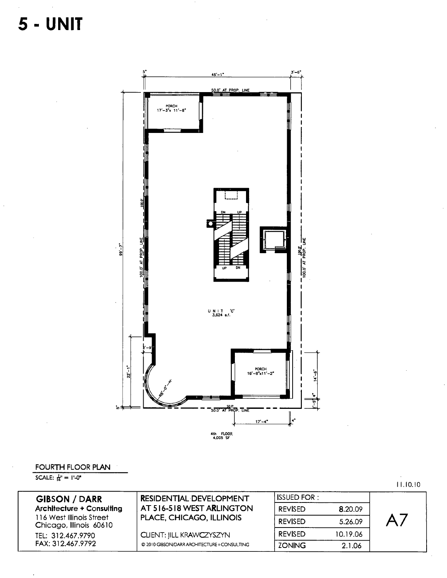

#### FOURTH FLOOR PLAN

SCALE:  $\frac{1}{16}$ " = I'-O"

| <b>GIBSON / DARR</b>                                | <b>RESIDENTIAL DEVELOPMENT</b>             | <b>ISSUED FOR :</b> |          |            |  |
|-----------------------------------------------------|--------------------------------------------|---------------------|----------|------------|--|
| <b>Architecture + Consulting</b>                    | AT 516-518 WEST ARLINGTON                  | <b>REVISED</b>      | 8.20.09  |            |  |
| 116 West Illinois Street<br>Chicago, Illinois 60610 | PLACE, CHICAGO, ILLINOIS                   | <b>REVISED</b>      | 5.26.09  | $A\bar{Z}$ |  |
| TEL: 312.467.9790                                   | <b>CLIENT: IILL KRAWCZYSZYN</b>            | <b>REVISED</b>      | 10.19.06 |            |  |
| FAX: 312.467.9792                                   | © 2010 GIBSON/DARR ARCHITECTURE+CONSULTING | <b>ZONING</b>       | 2.1.06   |            |  |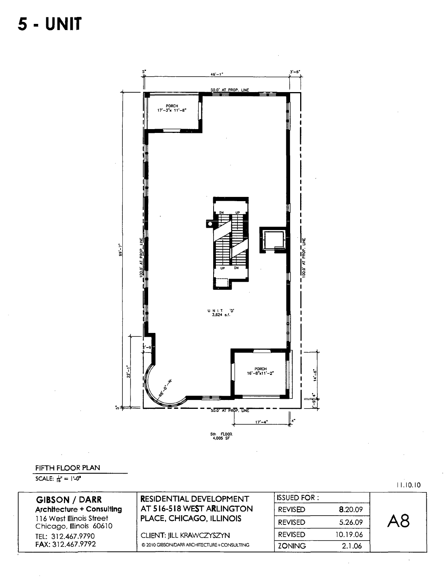

#### FIFTH FLOOR PLAN

 $\Delta \sim 10^{11}$  mass  $^{-1}$ 

SCALE:  $\frac{1}{6}$ " =  $1^{\frac{1}{2} - 0}$ "

| GIBSON / DARR<br><b>Architecture + Consulting</b><br>116 West Illinois Street | <b>RESIDENTIAL DEVELOPMENT</b><br>AT 516-518 WEST ARLINGTON<br>PLACE, CHICAGO, ILLINOIS | <b>ISSUED FOR :</b><br><b>REVISED</b>             | 8.20.09                       |    |  |
|-------------------------------------------------------------------------------|-----------------------------------------------------------------------------------------|---------------------------------------------------|-------------------------------|----|--|
| Chicago, Illinois 60610<br>TEL: 312.467.9790<br>FAX: 312.467.9792             | CLIENT: ILL KRAWCZYSZYN<br>C 2010 GIBSON/DARR ARCHITECTURE + CONSULTING                 | <b>REVISED</b><br><b>REVISED</b><br><b>ZONING</b> | 5.26.09<br>10.19.06<br>2.1.06 | А8 |  |

I I.IO.IO

 $\ddot{\phantom{a}}$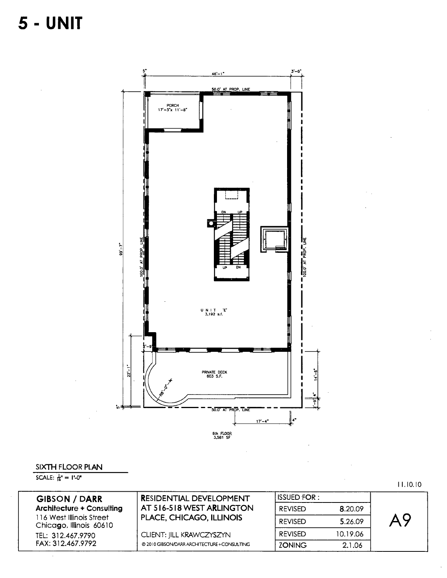

#### SIXTH FLOOR PLAN

 $SCALE: \frac{1}{16}$ " = 1'-0"

|  | 11.10.10 |  |
|--|----------|--|
|  |          |  |

| GIBSON / DARR                                       | <b>RESIDENTIAL DEVELOPMENT</b>                        | <b>ISSUED FOR:</b> |          |    |
|-----------------------------------------------------|-------------------------------------------------------|--------------------|----------|----|
| <b>Architecture + Consulting</b>                    | AT 516-518 WEST ARLINGTON<br>PLACE, CHICAGO, ILLINOIS | <b>REVISED</b>     | 8.20.09  | A9 |
| 116 West Illinois Street<br>Chicago, Illinois 60610 |                                                       | <b>REVISED</b>     | 5.26.09  |    |
| TEL: 312.467.9790                                   | CLIENT: IILL KRAWCZYSZYN                              | <b>REVISED</b>     | 10.19.06 |    |
| FAX: 312.467.9792                                   | © 2010 GIBSON/DARR ARCHITECTURE+CONSULTING            | <b>ZONING</b>      | 2.1.06   |    |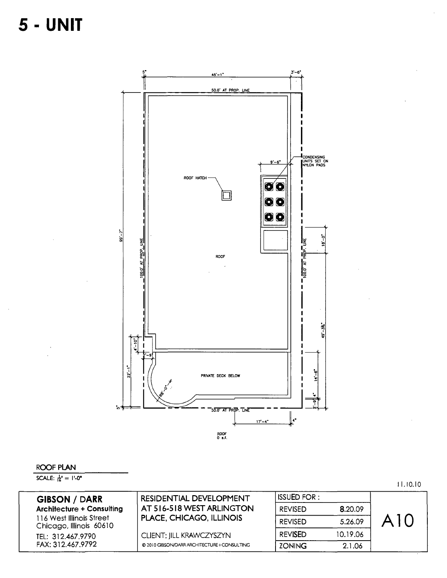

#### ROOF PLAN

 $SCALE: \frac{1}{16} = 1!$ -0"

| <b>RESIDENTIAL DEVELOPMENT</b><br><b>GIBSON / DARR</b> | <b>ISSUED FOR:</b>                                    |                |          |                |
|--------------------------------------------------------|-------------------------------------------------------|----------------|----------|----------------|
| <b>Architecture + Consulting</b>                       | AT 516-518 WEST ARLINGTON<br>PLACE, CHICAGO, ILLINOIS | <b>REVISED</b> | 8.20.09  | $\triangle$ 10 |
| 116 West Illinois Street<br>Chicago, Illinois 60610    |                                                       | <b>REVISED</b> | 5.26.09  |                |
| TEL: 312.467.9790                                      | CLIENT: IILL KRAWCZYSZYN                              | <b>REVISED</b> | 10.19.06 |                |
| FAX: 312.467.9792                                      | © 2010 GIBSON/DARR ARCHITECTURE + CONSULTING          | <b>ZONING</b>  | 2.1.06   |                |

I.IO.IO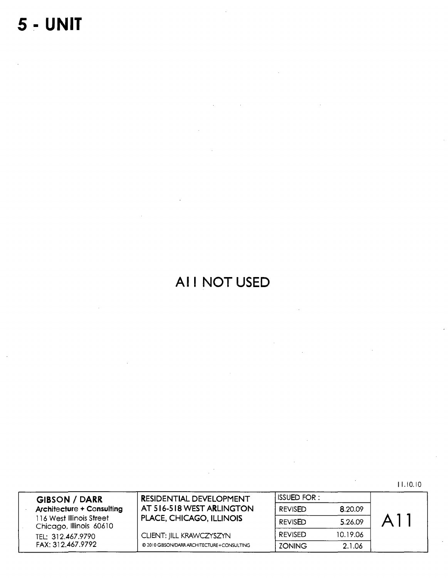FAX: 312.467.9792

## **A! I NOT USED**

**GIBSON / DARR**  Architecture + Consulting 116 West Illinois Street Chicago, Illinois 60610 TEL: 312.467.9790 RESIDENTIAL DEVELOPMENT AT 516-518 WEST ARLINGTON PLACE. CHICAGO. ILLINOIS CLIENT: JILL KRAWCZYSZYN ISSUED FOR : REVISED 8.20.09 REVISED 5.26.09 REVISED 10.19.06 **All** 

ZONING 2.1.06

© 2010 GIBSON/DARR ARCHITECTURE+CONSULTING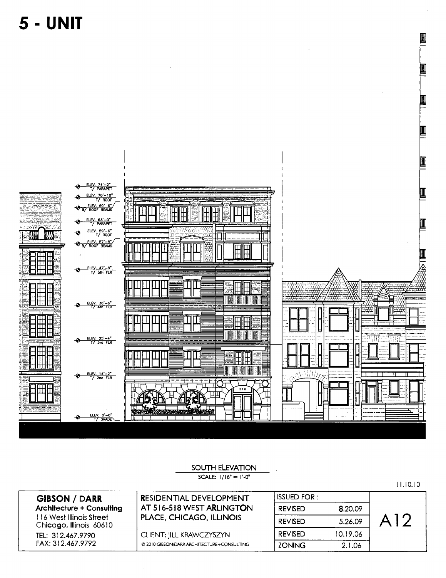

#### SOUTH ELEVATION

I.IO.IO

圓

▥

 $SCALE: 1/16" = 1'-0"$ 

| GIBSON / DARR                                       | <b>RESIDENTIAL DEVELOPMENT</b>               | <b>ISSUED FOR:</b> |          |                      |
|-----------------------------------------------------|----------------------------------------------|--------------------|----------|----------------------|
| <b>Architecture + Consulting</b>                    | AT 516-518 WEST ARLINGTON                    | <b>REVISED</b>     | 8.20.09  |                      |
| 116 West Illinois Street<br>Chicago, Illinois 60610 | PLACE, CHICAGO, ILLINOIS                     | <b>REVISED</b>     | 5.26.09  | $\triangle$ 1 $\cap$ |
| TEL: 312.467.9790                                   | CLIENT: JILL KRAWCZYSZYN                     | <b>REVISED</b>     | 10.19.06 |                      |
| FAX: 312.467.9792                                   | C 2010 GIBSON/DARR ARCHITECTURE + CONSULTING | <b>ZONING</b>      | 2.1.06   |                      |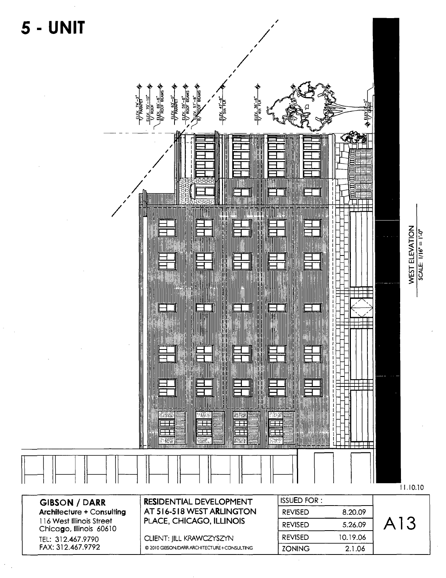

© 2010 GIBSON/DARR ARCHITECTURE+CONSULTING ZONING Z.1.06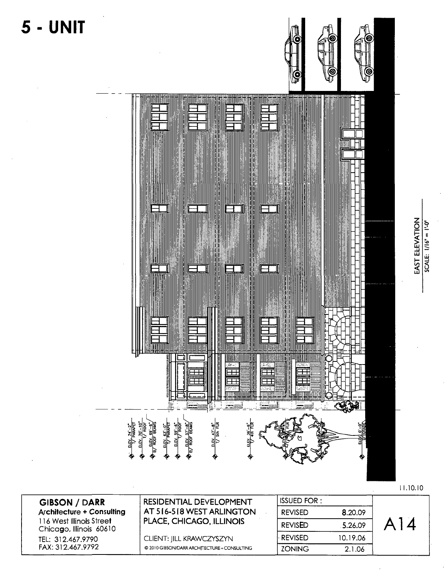z o EAST ELEVAT

• REVISED 10.19.06 ZONING 2.1.06

 $\frac{E(V)}{V}$  proper  $rac{10.70 - 10}{1}$ 이 아이<br>이 사용  $\frac{36}{45}$ ELEY, 74-2 1008 / 113 ELEY. 69'-6<br>B/ ROOF BEAM  $\frac{57}{2}$ 핰 10.10 ISSUED FOR : **GIBSON / DARR**  RESIDENTIAL DEVELOPMENT Architecture + Consulting AT 516-518 WEST ARLINGTON REVISED 8.20.09 116 West Illinois Street **A14** PLACE, CHICAGO, ILLINOIS REVISED 5.26.09 Chicago, Illinois 60610

> CLIENT: JILL KRAWCZYSZYN © 20IOGIBSON/DARRARCHrrECTURE-fCONSULTING

∓

**5 - UNIT** 

TEL: 312.467.9790 FAX: 312.467.9792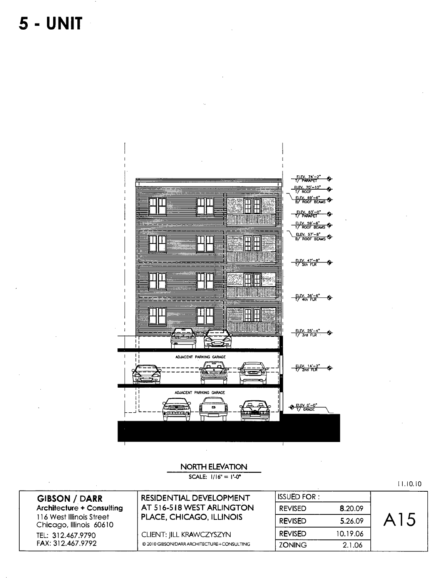

#### NORTH ELEVATION

 $SCALE: 1/16" = 1'-0"$ 

| GIBSON / DARR                                       | RESIDENTIAL DEVELOPMENT                    | <b>ISSUED FOR:</b> |          |  |
|-----------------------------------------------------|--------------------------------------------|--------------------|----------|--|
| <b>Architecture + Consulting</b>                    | AT 516-518 WEST ARLINGTON                  | <b>REVISED</b>     | 8.20.09  |  |
| 116 West Illinois Street<br>Chicago, Illinois 60610 | PLACE, CHICAGO, ILLINOIS                   | <b>REVISED</b>     | 5.26.09  |  |
| TEL: 312.467.9790                                   | CLIENT: IILL KRAWCZYSZYN                   | <b>REVISED</b>     | 10.19.06 |  |
| FAX: 312.467.9792                                   | © 2010 GIBSON/DARR ARCHITECTURE+CONSULTING | <b>ZONING</b>      | 2.1.06   |  |

I.IO.IO